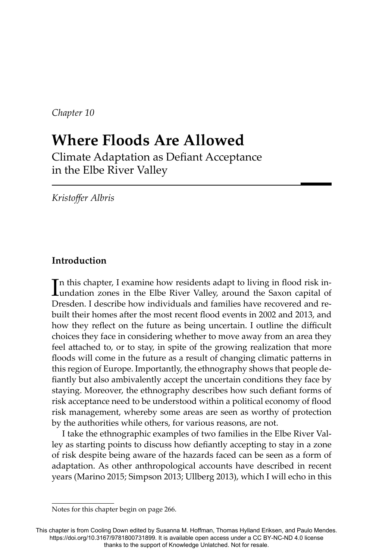*Chapter 10*

# **Where Floods Are Allowed**

Climate Adaptation as Defiant Acceptance in the Elbe River Valley

*Kristoff er Albris*

# **Introduction**

In this chapter, I examine how residents adapt to living in flood risk in-<br>undation zones in the Elbe River Valley, around the Saxon capital of undation zones in the Elbe River Valley, around the Saxon capital of Dresden. I describe how individuals and families have recovered and rebuilt their homes after the most recent flood events in 2002 and 2013, and how they reflect on the future as being uncertain. I outline the difficult choices they face in considering whether to move away from an area they feel attached to, or to stay, in spite of the growing realization that more floods will come in the future as a result of changing climatic patterns in this region of Europe. Importantly, the ethnography shows that people defiantly but also ambivalently accept the uncertain conditions they face by staying. Moreover, the ethnography describes how such defiant forms of risk acceptance need to be understood within a political economy of flood risk management, whereby some areas are seen as worthy of protection by the authorities while others, for various reasons, are not.

I take the ethnographic examples of two families in the Elbe River Valley as starting points to discuss how defiantly accepting to stay in a zone of risk despite being aware of the hazards faced can be seen as a form of adaptation. As other anthropological accounts have described in recent years (Marino 2015; Simpson 2013; Ullberg 2013), which I will echo in this

Notes for this chapter begin on page 266.

This chapter is from Cooling Down edited by Susanna M. Hoffman, Thomas Hylland Eriksen, and Paulo Mendes. https://doi.org/10.3167/9781800731899. It is available open access under a CC BY-NC-ND 4.0 license thanks to the support of Knowledge Unlatched. Not for resale.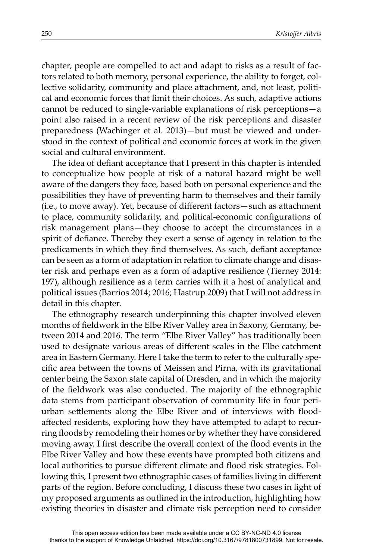chapter, people are compelled to act and adapt to risks as a result of factors related to both memory, personal experience, the ability to forget, collective solidarity, community and place attachment, and, not least, political and economic forces that limit their choices. As such, adaptive actions cannot be reduced to single-variable explanations of risk perceptions—a point also raised in a recent review of the risk perceptions and disaster preparedness (Wachinger et al. 2013)—but must be viewed and understood in the context of political and economic forces at work in the given social and cultural environment.

The idea of defiant acceptance that I present in this chapter is intended to conceptualize how people at risk of a natural hazard might be well aware of the dangers they face, based both on personal experience and the possibilities they have of preventing harm to themselves and their family (i.e., to move away). Yet, because of different factors - such as attachment to place, community solidarity, and political-economic configurations of risk management plans—they choose to accept the circumstances in a spirit of defiance. Thereby they exert a sense of agency in relation to the predicaments in which they find themselves. As such, defiant acceptance can be seen as a form of adaptation in relation to climate change and disaster risk and perhaps even as a form of adaptive resilience (Tierney 2014: 197), although resilience as a term carries with it a host of analytical and political issues (Barrios 2014; 2016; Hastrup 2009) that I will not address in detail in this chapter.

The ethnography research underpinning this chapter involved eleven months of fieldwork in the Elbe River Valley area in Saxony, Germany, between 2014 and 2016. The term "Elbe River Valley" has traditionally been used to designate various areas of different scales in the Elbe catchment area in Eastern Germany. Here I take the term to refer to the culturally specific area between the towns of Meissen and Pirna, with its gravitational center being the Saxon state capital of Dresden, and in which the majority of the fieldwork was also conducted. The majority of the ethnographic data stems from participant observation of community life in four periurban settlements along the Elbe River and of interviews with floodaffected residents, exploring how they have attempted to adapt to recurring floods by remodeling their homes or by whether they have considered moving away. I first describe the overall context of the flood events in the Elbe River Valley and how these events have prompted both citizens and local authorities to pursue different climate and flood risk strategies. Following this, I present two ethnographic cases of families living in different parts of the region. Before concluding, I discuss these two cases in light of my proposed arguments as outlined in the introduction, highlighting how existing theories in disaster and climate risk perception need to consider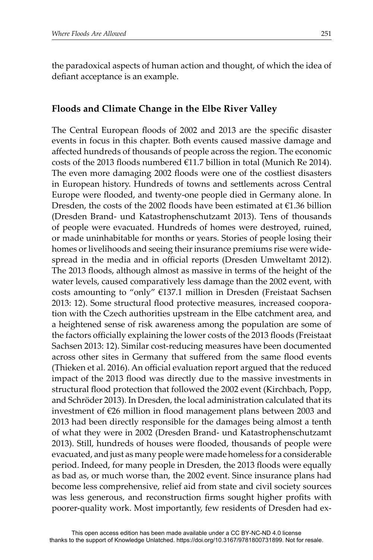the paradoxical aspects of human action and thought, of which the idea of defiant acceptance is an example.

#### **Floods and Climate Change in the Elbe River Valley**

The Central European floods of 2002 and 2013 are the specific disaster events in focus in this chapter. Both events caused massive damage and affected hundreds of thousands of people across the region. The economic costs of the 2013 floods numbered  $E11.7$  billion in total (Munich Re 2014). The even more damaging 2002 floods were one of the costliest disasters in European history. Hundreds of towns and settlements across Central Europe were flooded, and twenty-one people died in Germany alone. In Dresden, the costs of the 2002 floods have been estimated at  $\epsilon$ 1.36 billion (Dresden Brand- und Katastrophenschutzamt 2013). Tens of thousands of people were evacuated. Hundreds of homes were destroyed, ruined, or made uninhabitable for months or years. Stories of people losing their homes or livelihoods and seeing their insurance premiums rise were widespread in the media and in official reports (Dresden Umweltamt 2012). The 2013 floods, although almost as massive in terms of the height of the water levels, caused comparatively less damage than the 2002 event, with costs amounting to "only" €137.1 million in Dresden (Freistaat Sachsen 2013: 12). Some structural flood protective measures, increased cooporation with the Czech authorities upstream in the Elbe catchment area, and a heightened sense of risk awareness among the population are some of the factors officially explaining the lower costs of the 2013 floods (Freistaat Sachsen 2013: 12). Similar cost-reducing measures have been documented across other sites in Germany that suffered from the same flood events (Thieken et al. 2016). An official evaluation report argued that the reduced impact of the 2013 flood was directly due to the massive investments in structural flood protection that followed the 2002 event (Kirchbach, Popp, and Schröder 2013). In Dresden, the local administration calculated that its investment of  $\epsilon$ 26 million in flood management plans between 2003 and 2013 had been directly responsible for the damages being almost a tenth of what they were in 2002 (Dresden Brand- und Katastrophenschutzamt 2013). Still, hundreds of houses were flooded, thousands of people were evacuated, and just as many people were made homeless for a considerable period. Indeed, for many people in Dresden, the 2013 floods were equally as bad as, or much worse than, the 2002 event. Since insurance plans had become less comprehensive, relief aid from state and civil society sources was less generous, and reconstruction firms sought higher profits with poorer-quality work. Most importantly, few residents of Dresden had ex-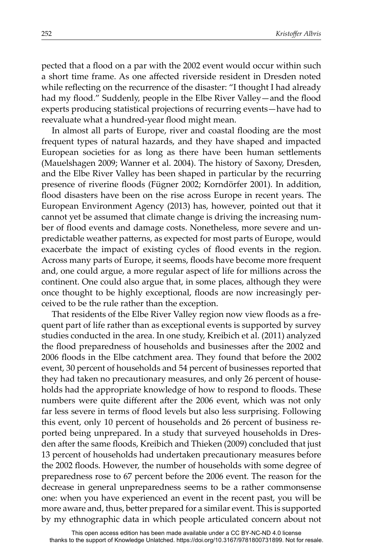pected that a flood on a par with the 2002 event would occur within such a short time frame. As one affected riverside resident in Dresden noted while reflecting on the recurrence of the disaster: "I thought I had already had my flood." Suddenly, people in the Elbe River Valley—and the flood experts producing statistical projections of recurring events—have had to reevaluate what a hundred-year flood might mean.

In almost all parts of Europe, river and coastal flooding are the most frequent types of natural hazards, and they have shaped and impacted European societies for as long as there have been human settlements (Mauelshagen 2009; Wanner et al. 2004). The history of Saxony, Dresden, and the Elbe River Valley has been shaped in particular by the recurring presence of riverine floods (Fügner 2002; Korndörfer 2001). In addition, flood disasters have been on the rise across Europe in recent years. The European Environment Agency (2013) has, however, pointed out that it cannot yet be assumed that climate change is driving the increasing number of flood events and damage costs. Nonetheless, more severe and unpredictable weather patterns, as expected for most parts of Europe, would exacerbate the impact of existing cycles of flood events in the region. Across many parts of Europe, it seems, floods have become more frequent and, one could argue, a more regular aspect of life for millions across the continent. One could also argue that, in some places, although they were once thought to be highly exceptional, floods are now increasingly perceived to be the rule rather than the exception.

That residents of the Elbe River Valley region now view floods as a frequent part of life rather than as exceptional events is supported by survey studies conducted in the area. In one study, Kreibich et al. (2011) analyzed the flood preparedness of households and businesses after the 2002 and 2006 floods in the Elbe catchment area. They found that before the 2002 event, 30 percent of households and 54 percent of businesses reported that they had taken no precautionary measures, and only 26 percent of households had the appropriate knowledge of how to respond to floods. These numbers were quite different after the 2006 event, which was not only far less severe in terms of flood levels but also less surprising. Following this event, only 10 percent of households and 26 percent of business reported being unprepared. In a study that surveyed households in Dresden after the same floods, Kreibich and Thieken (2009) concluded that just 13 percent of households had undertaken precautionary measures before the 2002 floods. However, the number of households with some degree of preparedness rose to 67 percent before the 2006 event. The reason for the decrease in general unpreparedness seems to be a rather commonsense one: when you have experienced an event in the recent past, you will be more aware and, thus, better prepared for a similar event. This is supported by my ethnographic data in which people articulated concern about not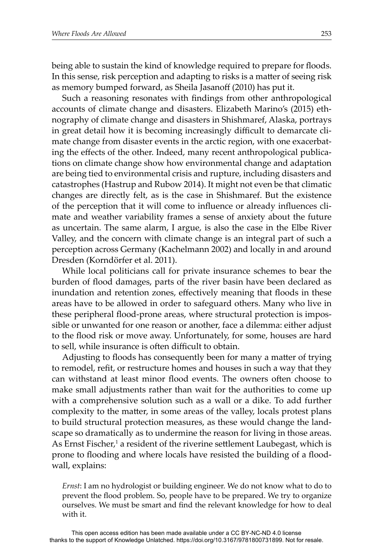being able to sustain the kind of knowledge required to prepare for floods. In this sense, risk perception and adapting to risks is a matter of seeing risk as memory bumped forward, as Sheila Jasanoff (2010) has put it.

Such a reasoning resonates with findings from other anthropological accounts of climate change and disasters. Elizabeth Marino's (2015) ethnography of climate change and disasters in Shishmaref, Alaska, portrays in great detail how it is becoming increasingly difficult to demarcate climate change from disaster events in the arctic region, with one exacerbating the effects of the other. Indeed, many recent anthropological publications on climate change show how environmental change and adaptation are being tied to environmental crisis and rupture, including disasters and catastrophes (Hastrup and Rubow 2014). It might not even be that climatic changes are directly felt, as is the case in Shishmaref. But the existence of the perception that it will come to influence or already influences climate and weather variability frames a sense of anxiety about the future as uncertain. The same alarm, I argue, is also the case in the Elbe River Valley, and the concern with climate change is an integral part of such a perception across Germany (Kachelmann 2002) and locally in and around Dresden (Korndörfer et al. 2011).

While local politicians call for private insurance schemes to bear the burden of flood damages, parts of the river basin have been declared as inundation and retention zones, effectively meaning that floods in these areas have to be allowed in order to safeguard others. Many who live in these peripheral flood-prone areas, where structural protection is impossible or unwanted for one reason or another, face a dilemma: either adjust to the flood risk or move away. Unfortunately, for some, houses are hard to sell, while insurance is often difficult to obtain.

Adjusting to floods has consequently been for many a matter of trying to remodel, refit, or restructure homes and houses in such a way that they can withstand at least minor flood events. The owners often choose to make small adjustments rather than wait for the authorities to come up with a comprehensive solution such as a wall or a dike. To add further complexity to the matter, in some areas of the valley, locals protest plans to build structural protection measures, as these would change the landscape so dramatically as to undermine the reason for living in those areas. As Ernst Fischer,<sup>1</sup> a resident of the riverine settlement Laubegast, which is prone to flooding and where locals have resisted the building of a floodwall, explains:

*Ernst*: I am no hydrologist or building engineer. We do not know what to do to prevent the flood problem. So, people have to be prepared. We try to organize ourselves. We must be smart and find the relevant knowledge for how to deal with it.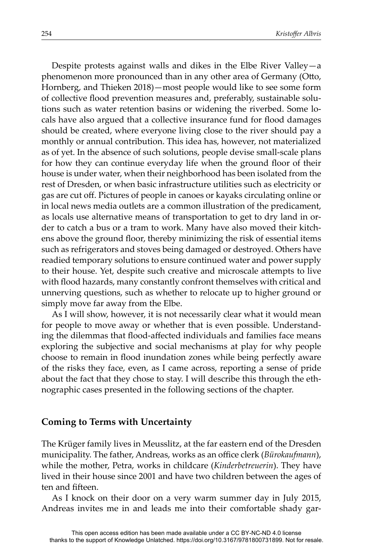Despite protests against walls and dikes in the Elbe River Valley—a phenomenon more pronounced than in any other area of Germany (Otto, Hornberg, and Thieken 2018)—most people would like to see some form of collective flood prevention measures and, preferably, sustainable solutions such as water retention basins or widening the riverbed. Some locals have also argued that a collective insurance fund for flood damages should be created, where everyone living close to the river should pay a monthly or annual contribution. This idea has, however, not materialized as of yet. In the absence of such solutions, people devise small-scale plans for how they can continue everyday life when the ground floor of their house is under water, when their neighborhood has been isolated from the rest of Dresden, or when basic infrastructure utilities such as electricity or gas are cut off. Pictures of people in canoes or kayaks circulating online or in local news media outlets are a common illustration of the predicament, as locals use alternative means of transportation to get to dry land in order to catch a bus or a tram to work. Many have also moved their kitchens above the ground floor, thereby minimizing the risk of essential items such as refrigerators and stoves being damaged or destroyed. Others have readied temporary solutions to ensure continued water and power supply to their house. Yet, despite such creative and microscale attempts to live with flood hazards, many constantly confront themselves with critical and unnerving questions, such as whether to relocate up to higher ground or simply move far away from the Elbe.

As I will show, however, it is not necessarily clear what it would mean for people to move away or whether that is even possible. Understanding the dilemmas that flood-affected individuals and families face means exploring the subjective and social mechanisms at play for why people choose to remain in flood inundation zones while being perfectly aware of the risks they face, even, as I came across, reporting a sense of pride about the fact that they chose to stay. I will describe this through the ethnographic cases presented in the following sections of the chapter.

#### **Coming to Terms with Uncertainty**

The Krüger family lives in Meusslitz, at the far eastern end of the Dresden municipality. The father, Andreas, works as an office clerk (*Bürokaufmann*), while the mother, Petra, works in childcare (*Kinderbetreuerin*). They have lived in their house since 2001 and have two children between the ages of ten and fifteen.

As I knock on their door on a very warm summer day in July 2015, Andreas invites me in and leads me into their comfortable shady gar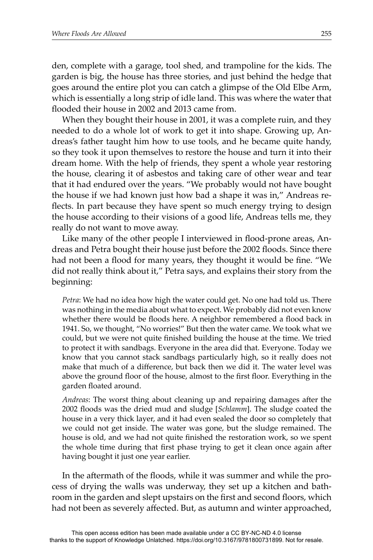den, complete with a garage, tool shed, and trampoline for the kids. The garden is big, the house has three stories, and just behind the hedge that goes around the entire plot you can catch a glimpse of the Old Elbe Arm, which is essentially a long strip of idle land. This was where the water that flooded their house in 2002 and 2013 came from.

When they bought their house in 2001, it was a complete ruin, and they needed to do a whole lot of work to get it into shape. Growing up, Andreas's father taught him how to use tools, and he became quite handy, so they took it upon themselves to restore the house and turn it into their dream home. With the help of friends, they spent a whole year restoring the house, clearing it of asbestos and taking care of other wear and tear that it had endured over the years. "We probably would not have bought the house if we had known just how bad a shape it was in," Andreas reflects. In part because they have spent so much energy trying to design the house according to their visions of a good life, Andreas tells me, they really do not want to move away.

Like many of the other people I interviewed in flood-prone areas, Andreas and Petra bought their house just before the 2002 floods. Since there had not been a flood for many years, they thought it would be fine. "We did not really think about it," Petra says, and explains their story from the beginning:

*Petra*: We had no idea how high the water could get. No one had told us. There was nothing in the media about what to expect. We probably did not even know whether there would be floods here. A neighbor remembered a flood back in 1941. So, we thought, "No worries!" But then the water came. We took what we could, but we were not quite finished building the house at the time. We tried to protect it with sandbags. Everyone in the area did that. Everyone. Today we know that you cannot stack sandbags particularly high, so it really does not make that much of a difference, but back then we did it. The water level was above the ground floor of the house, almost to the first floor. Everything in the garden floated around.

*Andreas*: The worst thing about cleaning up and repairing damages after the 2002 floods was the dried mud and sludge [*Schlamm*]. The sludge coated the house in a very thick layer, and it had even sealed the door so completely that we could not get inside. The water was gone, but the sludge remained. The house is old, and we had not quite finished the restoration work, so we spent the whole time during that first phase trying to get it clean once again after having bought it just one year earlier.

In the aftermath of the floods, while it was summer and while the process of drying the walls was underway, they set up a kitchen and bathroom in the garden and slept upstairs on the first and second floors, which had not been as severely affected. But, as autumn and winter approached,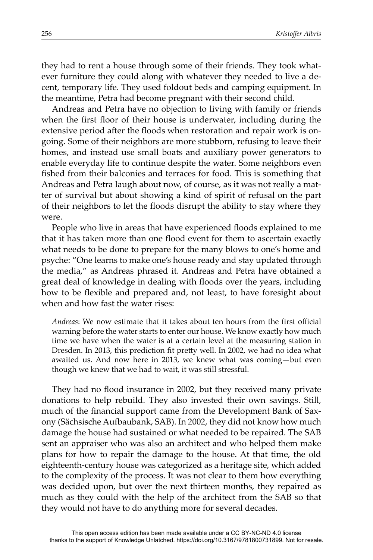they had to rent a house through some of their friends. They took whatever furniture they could along with whatever they needed to live a decent, temporary life. They used foldout beds and camping equipment. In the meantime, Petra had become pregnant with their second child.

Andreas and Petra have no objection to living with family or friends when the first floor of their house is underwater, including during the extensive period after the floods when restoration and repair work is ongoing. Some of their neighbors are more stubborn, refusing to leave their homes, and instead use small boats and auxiliary power generators to enable everyday life to continue despite the water. Some neighbors even fished from their balconies and terraces for food. This is something that Andreas and Petra laugh about now, of course, as it was not really a matter of survival but about showing a kind of spirit of refusal on the part of their neighbors to let the floods disrupt the ability to stay where they were.

People who live in areas that have experienced floods explained to me that it has taken more than one flood event for them to ascertain exactly what needs to be done to prepare for the many blows to one's home and psyche: "One learns to make one's house ready and stay updated through the media," as Andreas phrased it. Andreas and Petra have obtained a great deal of knowledge in dealing with floods over the years, including how to be flexible and prepared and, not least, to have foresight about when and how fast the water rises:

*Andreas*: We now estimate that it takes about ten hours from the first official warning before the water starts to enter our house. We know exactly how much time we have when the water is at a certain level at the measuring station in Dresden. In 2013, this prediction fit pretty well. In 2002, we had no idea what awaited us. And now here in 2013, we knew what was coming—but even though we knew that we had to wait, it was still stressful.

They had no flood insurance in 2002, but they received many private donations to help rebuild. They also invested their own savings. Still, much of the financial support came from the Development Bank of Saxony (Sächsische Aufbaubank, SAB). In 2002, they did not know how much damage the house had sustained or what needed to be repaired. The SAB sent an appraiser who was also an architect and who helped them make plans for how to repair the damage to the house. At that time, the old eighteenth-century house was categorized as a heritage site, which added to the complexity of the process. It was not clear to them how everything was decided upon, but over the next thirteen months, they repaired as much as they could with the help of the architect from the SAB so that they would not have to do anything more for several decades.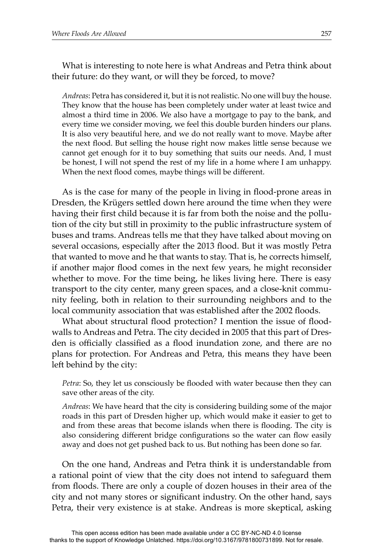What is interesting to note here is what Andreas and Petra think about their future: do they want, or will they be forced, to move?

*Andreas*: Petra has considered it, but it is not realistic. No one will buy the house. They know that the house has been completely under water at least twice and almost a third time in 2006. We also have a mortgage to pay to the bank, and every time we consider moving, we feel this double burden hinders our plans. It is also very beautiful here, and we do not really want to move. Maybe after the next flood. But selling the house right now makes little sense because we cannot get enough for it to buy something that suits our needs. And, I must be honest, I will not spend the rest of my life in a home where I am unhappy. When the next flood comes, maybe things will be different.

As is the case for many of the people in living in flood-prone areas in Dresden, the Krügers settled down here around the time when they were having their first child because it is far from both the noise and the pollution of the city but still in proximity to the public infrastructure system of buses and trams. Andreas tells me that they have talked about moving on several occasions, especially after the 2013 flood. But it was mostly Petra that wanted to move and he that wants to stay. That is, he corrects himself, if another major flood comes in the next few years, he might reconsider whether to move. For the time being, he likes living here. There is easy transport to the city center, many green spaces, and a close-knit community feeling, both in relation to their surrounding neighbors and to the local community association that was established after the 2002 floods.

What about structural flood protection? I mention the issue of floodwalls to Andreas and Petra. The city decided in 2005 that this part of Dresden is officially classified as a flood inundation zone, and there are no plans for protection. For Andreas and Petra, this means they have been left behind by the city:

Petra: So, they let us consciously be flooded with water because then they can save other areas of the city.

*Andreas*: We have heard that the city is considering building some of the major roads in this part of Dresden higher up, which would make it easier to get to and from these areas that become islands when there is flooding. The city is also considering different bridge configurations so the water can flow easily away and does not get pushed back to us. But nothing has been done so far.

On the one hand, Andreas and Petra think it is understandable from a rational point of view that the city does not intend to safeguard them from floods. There are only a couple of dozen houses in their area of the city and not many stores or significant industry. On the other hand, says Petra, their very existence is at stake. Andreas is more skeptical, asking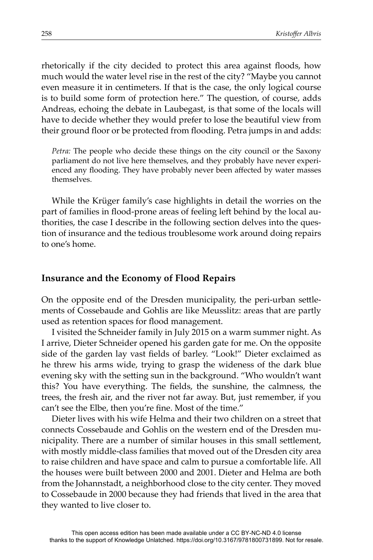rhetorically if the city decided to protect this area against floods, how much would the water level rise in the rest of the city? "Maybe you cannot even measure it in centimeters. If that is the case, the only logical course is to build some form of protection here." The question, of course, adds Andreas, echoing the debate in Laubegast, is that some of the locals will have to decide whether they would prefer to lose the beautiful view from their ground floor or be protected from flooding. Petra jumps in and adds:

*Petra:* The people who decide these things on the city council or the Saxony parliament do not live here themselves, and they probably have never experienced any flooding. They have probably never been affected by water masses themselves.

While the Krüger family's case highlights in detail the worries on the part of families in flood-prone areas of feeling left behind by the local authorities, the case I describe in the following section delves into the question of insurance and the tedious troublesome work around doing repairs to one's home.

#### **Insurance and the Economy of Flood Repairs**

On the opposite end of the Dresden municipality, the peri-urban settlements of Cossebaude and Gohlis are like Meusslitz: areas that are partly used as retention spaces for flood management.

I visited the Schneider family in July 2015 on a warm summer night. As I arrive, Dieter Schneider opened his garden gate for me. On the opposite side of the garden lay vast fields of barley. "Look!" Dieter exclaimed as he threw his arms wide, trying to grasp the wideness of the dark blue evening sky with the setting sun in the background. "Who wouldn't want this? You have everything. The fields, the sunshine, the calmness, the trees, the fresh air, and the river not far away. But, just remember, if you can't see the Elbe, then you're fine. Most of the time."

Dieter lives with his wife Helma and their two children on a street that connects Cossebaude and Gohlis on the western end of the Dresden municipality. There are a number of similar houses in this small settlement, with mostly middle-class families that moved out of the Dresden city area to raise children and have space and calm to pursue a comfortable life. All the houses were built between 2000 and 2001. Dieter and Helma are both from the Johannstadt, a neighborhood close to the city center. They moved to Cossebaude in 2000 because they had friends that lived in the area that they wanted to live closer to.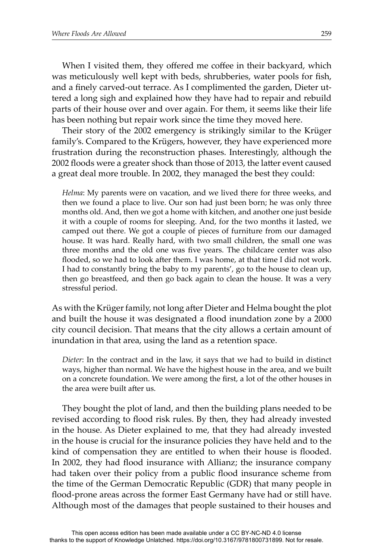When I visited them, they offered me coffee in their backyard, which was meticulously well kept with beds, shrubberies, water pools for fish, and a finely carved-out terrace. As I complimented the garden, Dieter uttered a long sigh and explained how they have had to repair and rebuild parts of their house over and over again. For them, it seems like their life has been nothing but repair work since the time they moved here.

Their story of the 2002 emergency is strikingly similar to the Krüger family's. Compared to the Krügers, however, they have experienced more frustration during the reconstruction phases. Interestingly, although the 2002 floods were a greater shock than those of 2013, the latter event caused a great deal more trouble. In 2002, they managed the best they could:

*Helma*: My parents were on vacation, and we lived there for three weeks, and then we found a place to live. Our son had just been born; he was only three months old. And, then we got a home with kitchen, and another one just beside it with a couple of rooms for sleeping. And, for the two months it lasted, we camped out there. We got a couple of pieces of furniture from our damaged house. It was hard. Really hard, with two small children, the small one was three months and the old one was five years. The childcare center was also flooded, so we had to look after them. I was home, at that time I did not work. I had to constantly bring the baby to my parents', go to the house to clean up, then go breastfeed, and then go back again to clean the house. It was a very stressful period.

As with the Krüger family, not long after Dieter and Helma bought the plot and built the house it was designated a flood inundation zone by a 2000 city council decision. That means that the city allows a certain amount of inundation in that area, using the land as a retention space.

*Dieter*: In the contract and in the law, it says that we had to build in distinct ways, higher than normal. We have the highest house in the area, and we built on a concrete foundation. We were among the first, a lot of the other houses in the area were built after us.

They bought the plot of land, and then the building plans needed to be revised according to flood risk rules. By then, they had already invested in the house. As Dieter explained to me, that they had already invested in the house is crucial for the insurance policies they have held and to the kind of compensation they are entitled to when their house is flooded. In 2002, they had flood insurance with Allianz; the insurance company had taken over their policy from a public flood insurance scheme from the time of the German Democratic Republic (GDR) that many people in flood-prone areas across the former East Germany have had or still have. Although most of the damages that people sustained to their houses and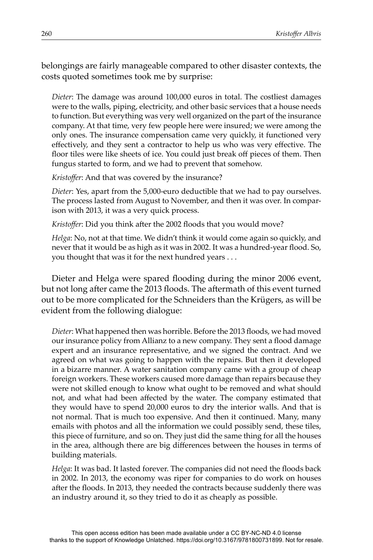belongings are fairly manageable compared to other disaster contexts, the costs quoted sometimes took me by surprise:

*Dieter*: The damage was around 100,000 euros in total. The costliest damages were to the walls, piping, electricity, and other basic services that a house needs to function. But everything was very well organized on the part of the insurance company. At that time, very few people here were insured; we were among the only ones. The insurance compensation came very quickly, it functioned very effectively, and they sent a contractor to help us who was very effective. The floor tiles were like sheets of ice. You could just break off pieces of them. Then fungus started to form, and we had to prevent that somehow.

Kristoffer: And that was covered by the insurance?

*Dieter*: Yes, apart from the 5,000-euro deductible that we had to pay ourselves. The process lasted from August to November, and then it was over. In comparison with 2013, it was a very quick process.

*Kristoffer*: Did you think after the 2002 floods that you would move?

*Helga*: No, not at that time. We didn't think it would come again so quickly, and never that it would be as high as it was in 2002. It was a hundred-year flood. So, you thought that was it for the next hundred years . . .

Dieter and Helga were spared flooding during the minor 2006 event, but not long after came the 2013 floods. The aftermath of this event turned out to be more complicated for the Schneiders than the Krügers, as will be evident from the following dialogue:

*Dieter*: What happened then was horrible. Before the 2013 floods, we had moved our insurance policy from Allianz to a new company. They sent a flood damage expert and an insurance representative, and we signed the contract. And we agreed on what was going to happen with the repairs. But then it developed in a bizarre manner. A water sanitation company came with a group of cheap foreign workers. These workers caused more damage than repairs because they were not skilled enough to know what ought to be removed and what should not, and what had been affected by the water. The company estimated that they would have to spend 20,000 euros to dry the interior walls. And that is not normal. That is much too expensive. And then it continued. Many, many emails with photos and all the information we could possibly send, these tiles, this piece of furniture, and so on. They just did the same thing for all the houses in the area, although there are big differences between the houses in terms of building materials.

*Helga*: It was bad. It lasted forever. The companies did not need the floods back in 2002. In 2013, the economy was riper for companies to do work on houses after the floods. In 2013, they needed the contracts because suddenly there was an industry around it, so they tried to do it as cheaply as possible.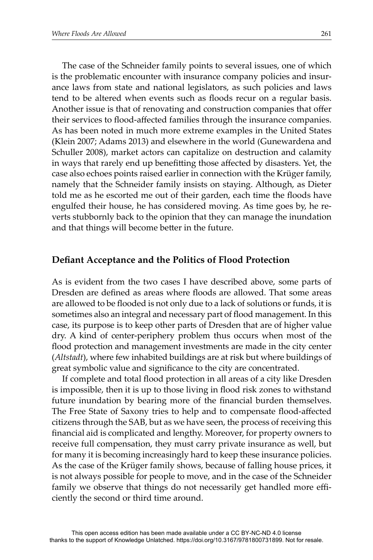The case of the Schneider family points to several issues, one of which is the problematic encounter with insurance company policies and insurance laws from state and national legislators, as such policies and laws tend to be altered when events such as floods recur on a regular basis. Another issue is that of renovating and construction companies that offer their services to flood-affected families through the insurance companies. As has been noted in much more extreme examples in the United States (Klein 2007; Adams 2013) and elsewhere in the world (Gunewardena and Schuller 2008), market actors can capitalize on destruction and calamity in ways that rarely end up benefitting those affected by disasters. Yet, the case also echoes points raised earlier in connection with the Krüger family, namely that the Schneider family insists on staying. Although, as Dieter told me as he escorted me out of their garden, each time the floods have engulfed their house, he has considered moving. As time goes by, he reverts stubbornly back to the opinion that they can manage the inundation and that things will become better in the future.

#### **Defi ant Acceptance and the Politics of Flood Protection**

As is evident from the two cases I have described above, some parts of Dresden are defined as areas where floods are allowed. That some areas are allowed to be flooded is not only due to a lack of solutions or funds, it is sometimes also an integral and necessary part of flood management. In this case, its purpose is to keep other parts of Dresden that are of higher value dry. A kind of center-periphery problem thus occurs when most of the flood protection and management investments are made in the city center (*Altstadt*), where few inhabited buildings are at risk but where buildings of great symbolic value and significance to the city are concentrated.

If complete and total flood protection in all areas of a city like Dresden is impossible, then it is up to those living in flood risk zones to withstand future inundation by bearing more of the financial burden themselves. The Free State of Saxony tries to help and to compensate flood-affected citizens through the SAB, but as we have seen, the process of receiving this financial aid is complicated and lengthy. Moreover, for property owners to receive full compensation, they must carry private insurance as well, but for many it is becoming increasingly hard to keep these insurance policies. As the case of the Krüger family shows, because of falling house prices, it is not always possible for people to move, and in the case of the Schneider family we observe that things do not necessarily get handled more efficiently the second or third time around.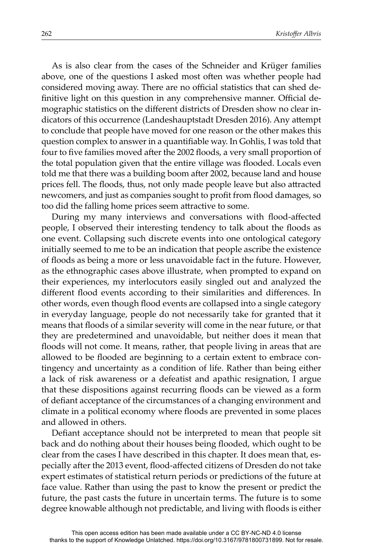As is also clear from the cases of the Schneider and Krüger families above, one of the questions I asked most often was whether people had considered moving away. There are no official statistics that can shed definitive light on this question in any comprehensive manner. Official demographic statistics on the different districts of Dresden show no clear indicators of this occurrence (Landeshauptstadt Dresden 2016). Any attempt to conclude that people have moved for one reason or the other makes this question complex to answer in a quantifiable way. In Gohlis, I was told that four to five families moved after the 2002 floods, a very small proportion of the total population given that the entire village was flooded. Locals even told me that there was a building boom after 2002, because land and house prices fell. The floods, thus, not only made people leave but also attracted newcomers, and just as companies sought to profit from flood damages, so too did the falling home prices seem attractive to some.

During my many interviews and conversations with flood-affected people, I observed their interesting tendency to talk about the floods as one event. Collapsing such discrete events into one ontological category initially seemed to me to be an indication that people ascribe the existence of floods as being a more or less unavoidable fact in the future. However, as the ethnographic cases above illustrate, when prompted to expand on their experiences, my interlocutors easily singled out and analyzed the different flood events according to their similarities and differences. In other words, even though flood events are collapsed into a single category in everyday language, people do not necessarily take for granted that it means that floods of a similar severity will come in the near future, or that they are predetermined and unavoidable, but neither does it mean that floods will not come. It means, rather, that people living in areas that are allowed to be flooded are beginning to a certain extent to embrace contingency and uncertainty as a condition of life. Rather than being either a lack of risk awareness or a defeatist and apathic resignation, I argue that these dispositions against recurring floods can be viewed as a form of defiant acceptance of the circumstances of a changing environment and climate in a political economy where floods are prevented in some places and allowed in others.

Defiant acceptance should not be interpreted to mean that people sit back and do nothing about their houses being flooded, which ought to be clear from the cases I have described in this chapter. It does mean that, especially after the 2013 event, flood-affected citizens of Dresden do not take expert estimates of statistical return periods or predictions of the future at face value. Rather than using the past to know the present or predict the future, the past casts the future in uncertain terms. The future is to some degree knowable although not predictable, and living with floods is either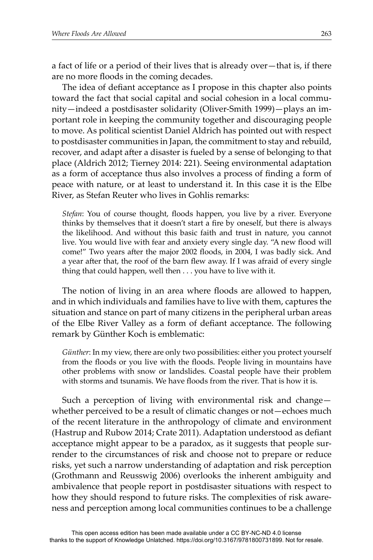a fact of life or a period of their lives that is already over—that is, if there are no more floods in the coming decades.

The idea of defiant acceptance as I propose in this chapter also points toward the fact that social capital and social cohesion in a local community—indeed a postdisaster solidarity (Oliver-Smith 1999)—plays an important role in keeping the community together and discouraging people to move. As political scientist Daniel Aldrich has pointed out with respect to postdisaster communities in Japan, the commitment to stay and rebuild, recover, and adapt after a disaster is fueled by a sense of belonging to that place (Aldrich 2012; Tierney 2014: 221). Seeing environmental adaptation as a form of acceptance thus also involves a process of finding a form of peace with nature, or at least to understand it. In this case it is the Elbe River, as Stefan Reuter who lives in Gohlis remarks:

*Stefan*: You of course thought, floods happen, you live by a river. Everyone thinks by themselves that it doesn't start a fire by oneself, but there is always the likelihood. And without this basic faith and trust in nature, you cannot live. You would live with fear and anxiety every single day. "A new flood will come!" Two years after the major 2002 floods, in 2004, I was badly sick. And a year after that, the roof of the barn flew away. If I was afraid of every single thing that could happen, well then . . . you have to live with it.

The notion of living in an area where floods are allowed to happen, and in which individuals and families have to live with them, captures the situation and stance on part of many citizens in the peripheral urban areas of the Elbe River Valley as a form of defiant acceptance. The following remark by Günther Koch is emblematic:

*Günther*: In my view, there are only two possibilities: either you protect yourself from the floods or you live with the floods. People living in mountains have other problems with snow or landslides. Coastal people have their problem with storms and tsunamis. We have floods from the river. That is how it is.

Such a perception of living with environmental risk and change whether perceived to be a result of climatic changes or not—echoes much of the recent literature in the anthropology of climate and environment (Hastrup and Rubow 2014; Crate 2011). Adaptation understood as defiant acceptance might appear to be a paradox, as it suggests that people surrender to the circumstances of risk and choose not to prepare or reduce risks, yet such a narrow understanding of adaptation and risk perception (Grothmann and Reusswig 2006) overlooks the inherent ambiguity and ambivalence that people report in postdisaster situations with respect to how they should respond to future risks. The complexities of risk awareness and perception among local communities continues to be a challenge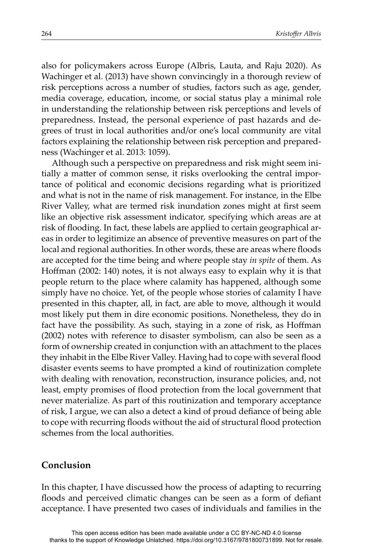also for policymakers across Europe (Albris, Lauta, and Raju 2020). As Wachinger et al. (2013) have shown convincingly in a thorough review of risk perceptions across a number of studies, factors such as age, gender, media coverage, education, income, or social status play a minimal role in understanding the relationship between risk perceptions and levels of preparedness. Instead, the personal experience of past hazards and degrees of trust in local authorities and/or one's local community are vital factors explaining the relationship between risk perception and preparedness (Wachinger et al. 2013: 1059).

Although such a perspective on preparedness and risk might seem initially a matter of common sense, it risks overlooking the central importance of political and economic decisions regarding what is prioritized and what is not in the name of risk management. For instance, in the Elbe River Valley, what are termed risk inundation zones might at first seem like an objective risk assessment indicator, specifying which areas are at risk of flooding. In fact, these labels are applied to certain geographical areas in order to legitimize an absence of preventive measures on part of the local and regional authorities. In other words, these are areas where floods are accepted for the time being and where people stay *in spite* of them. As Hoffman (2002: 140) notes, it is not always easy to explain why it is that people return to the place where calamity has happened, although some simply have no choice. Yet, of the people whose stories of calamity I have presented in this chapter, all, in fact, are able to move, although it would most likely put them in dire economic positions. Nonetheless, they do in fact have the possibility. As such, staying in a zone of risk, as Hoffman (2002) notes with reference to disaster symbolism, can also be seen as a form of ownership created in conjunction with an attachment to the places they inhabit in the Elbe River Valley. Having had to cope with several flood disaster events seems to have prompted a kind of routinization complete with dealing with renovation, reconstruction, insurance policies, and, not least, empty promises of flood protection from the local government that never materialize. As part of this routinization and temporary acceptance of risk, I argue, we can also a detect a kind of proud defiance of being able to cope with recurring floods without the aid of structural flood protection schemes from the local authorities.

#### **Conclusion**

In this chapter, I have discussed how the process of adapting to recurring floods and perceived climatic changes can be seen as a form of defiant acceptance. I have presented two cases of individuals and families in the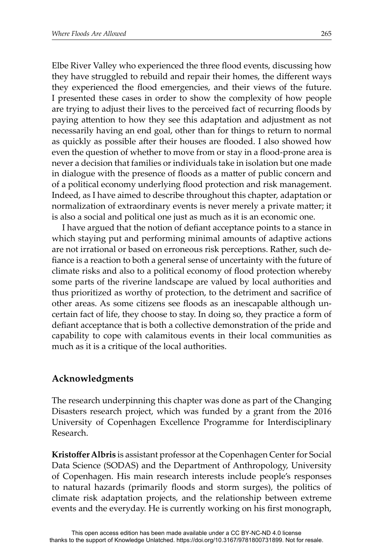Elbe River Valley who experienced the three flood events, discussing how they have struggled to rebuild and repair their homes, the different ways they experienced the flood emergencies, and their views of the future. I presented these cases in order to show the complexity of how people are trying to adjust their lives to the perceived fact of recurring floods by paying attention to how they see this adaptation and adjustment as not necessarily having an end goal, other than for things to return to normal as quickly as possible after their houses are flooded. I also showed how even the question of whether to move from or stay in a flood-prone area is never a decision that families or individuals take in isolation but one made in dialogue with the presence of floods as a matter of public concern and of a political economy underlying flood protection and risk management. Indeed, as I have aimed to describe throughout this chapter, adaptation or normalization of extraordinary events is never merely a private matter; it is also a social and political one just as much as it is an economic one.

I have argued that the notion of defiant acceptance points to a stance in which staying put and performing minimal amounts of adaptive actions are not irrational or based on erroneous risk perceptions. Rather, such defiance is a reaction to both a general sense of uncertainty with the future of climate risks and also to a political economy of flood protection whereby some parts of the riverine landscape are valued by local authorities and thus prioritized as worthy of protection, to the detriment and sacrifice of other areas. As some citizens see floods as an inescapable although uncertain fact of life, they choose to stay. In doing so, they practice a form of defiant acceptance that is both a collective demonstration of the pride and capability to cope with calamitous events in their local communities as much as it is a critique of the local authorities.

## **Acknowledgments**

The research underpinning this chapter was done as part of the Changing Disasters research project, which was funded by a grant from the 2016 University of Copenhagen Excellence Programme for Interdisciplinary Research.

**Kristoff er Albris** is assistant professor at the Copenhagen Center for Social Data Science (SODAS) and the Department of Anthropology, University of Copenhagen. His main research interests include people's responses to natural hazards (primarily floods and storm surges), the politics of climate risk adaptation projects, and the relationship between extreme events and the everyday. He is currently working on his first monograph,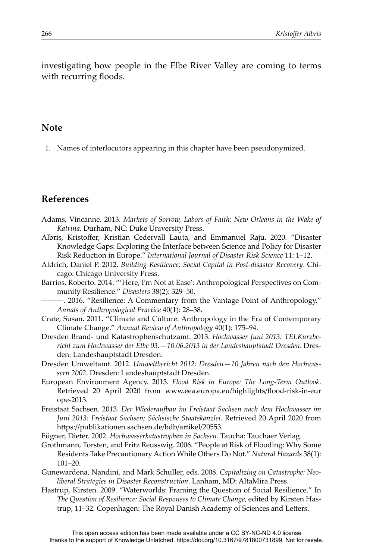investigating how people in the Elbe River Valley are coming to terms with recurring floods.

#### **Note**

1. Names of interlocutors appearing in this chapter have been pseudonymized.

## **References**

- Adams, Vincanne. 2013. *Markets of Sorrow, Labors of Faith: New Orleans in the Wake of Katrina*. Durham, NC: Duke University Press.
- Albris, Kristoffer, Kristian Cedervall Lauta, and Emmanuel Raju. 2020. "Disaster Knowledge Gaps: Exploring the Interface between Science and Policy for Disaster Risk Reduction in Europe." *International Journal of Disaster Risk Science* 11: 1–12.
- Aldrich, Daniel P. 2012. *Building Resilience: Social Capital in Post-disaster Recovery*. Chicago: Chicago University Press.
- Barrios, Roberto. 2014. "'Here, I'm Not at Ease': Anthropological Perspectives on Community Resilience." *Disasters* 38(2): 329–50.
	- ———. 2016. "Resilience: A Commentary from the Vantage Point of Anthropology." *Annals of Anthropological Practice* 40(1): 28–38.
- Crate, Susan. 2011. "Climate and Culture: Anthropology in the Era of Contemporary Climate Change." *Annual Review of Anthropology* 40(1): 175–94.
- Dresden Brand- und Katastrophenschutzamt. 2013. *Hochwasser Juni 2013: TELKurzberiĖ t zum Hochwasser der Elbe 03.—10.06.2013 in der Landeshauptstadt Dresden*. Dresden: Landeshauptstadt Dresden.
- Dresden Umweltamt. 2012. *Umweltbericht 2012: Dresden—10 Jahren nach den Hochwassern 2002*. Dresden: Landeshauptstadt Dresden.
- European Environment Agency. 2013. *Flood Risk in Europe: The Long-Term Outlook*. Retrieved 20 April 2020 from www.eea.europa.eu/highlights/flood-risk-in-eur ope-2013.
- Freistaat Sachsen. 2013. *Der WiederauĠ au im Freistaat Sachsen nach dem Hochwasser im Juni 2013: Freistaat Sachsen; Sächsische Staatskanzlei*. Retrieved 20 April 2020 from https://publikationen.sachsen.de/bdb/artikel/20553.
- Fügner, Dieter. 2002. *Hochwasserkatastrophen in Sachsen*. Taucha: Tauchaer Verlag.
- Grothmann, Torsten, and Fritz Reusswig. 2006. "People at Risk of Flooding: Why Some Residents Take Precautionary Action While Others Do Not." *Natural Hazards* 38(1): 101–20.
- Gunewardena, Nandini, and Mark Schuller, eds. 2008. *Capitalizing on Catastrophe: Neoliberal Strategies in Disaster Reconstruction*. Lanham, MD: AltaMira Press.
- Hastrup, Kirsten. 2009. "Waterworlds: Framing the Question of Social Resilience." In *The Question of Resilience: Social Responses to Climate Change*, edited by Kirsten Hastrup, 11–32. Copenhagen: The Royal Danish Academy of Sciences and Letters.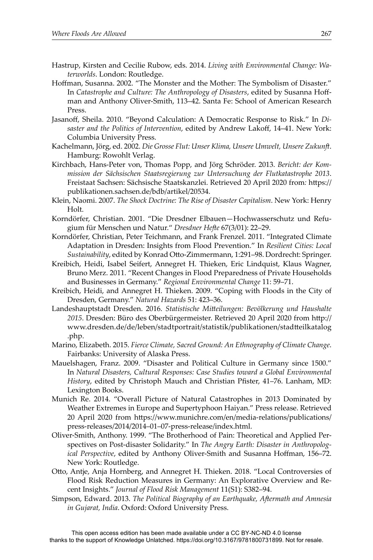- Hastrup, Kirsten and Cecilie Rubow, eds. 2014. *Living with Environmental Change: Waterworlds*. London: Routledge.
- Hoffman, Susanna. 2002. "The Monster and the Mother: The Symbolism of Disaster." In Catastrophe and Culture: The Anthropology of Disasters, edited by Susanna Hoffman and Anthony Oliver-Smith, 113–42. Santa Fe: School of American Research Press.
- Jasanoff, Sheila. 2010. "Beyond Calculation: A Democratic Response to Risk." In *Disaster and the Politics of Intervention*, edited by Andrew Lakoff, 14–41. New York: Columbia University Press.
- Kachelmann, Jörg, ed. 2002. *Die Grosse Flut: Unser Klima, Unsere Umwelt, Unsere ZukunĞ*. Hamburg: Rowohlt Verlag.
- Kirchbach, Hans-Peter von, Thomas Popp, and Jörg Schröder. 2013. *Bericht: der Kommission der Sächsischen Staatsregierung zur Untersuchung der Flutkatastrophe 2013*. Freistaat Sachsen: Sächsische Staatskanzlei. Retrieved 20 April 2020 from: https:// publikationen.sachsen.de/bdb/artikel/20534.
- Klein, Naomi. 2007. *The Shock Doctrine: The Rise of Disaster Capitalism*. New York: Henry Holt.
- Korndörfer, Christian. 2001. "Die Dresdner Elbauen—Hochwasserschutz und Refugium für Menschen und Natur." *Dresdner HeĞ e* 67(3/01): 22–29.
- Korndörfer, Christian, Peter Teichmann, and Frank Frenzel. 2011. "Integrated Climate Adaptation in Dresden: Insights from Flood Prevention." In *Resilient Cities: Local Sustainability*, edited by Konrad Otto-Zimmermann, 1:291–98. Dordrecht: Springer.
- Kreibich, Heidi, Isabel Seifert, Annegret H. Thieken, Eric Lindquist, Klaus Wagner, Bruno Merz. 2011. "Recent Changes in Flood Preparedness of Private Households and Businesses in Germany." *Regional Environmental Change* 11: 59–71.
- Kreibich, Heidi, and Annegret H. Thieken. 2009. "Coping with Floods in the City of Dresden, Germany." *Natural Hazards* 51: 423–36.
- Landeshauptstadt Dresden. 2016. Statistische Mitteilungen: Bevölkerung und Haushalte 2015. Dresden: Büro des Oberbürgermeister. Retrieved 20 April 2020 from http:// www.dresden.de/de/leben/stadtportrait/statistik/publikationen/stadtteilkatalog .php.
- Marino, Elizabeth. 2015. *Fierce Climate, Sacred Ground: An Ethnography of Climate Change*. Fairbanks: University of Alaska Press.
- Mauelshagen, Franz. 2009. "Disaster and Political Culture in Germany since 1500." In *Natural Disasters, Cultural Responses: Case Studies toward a Global Environmental History*, edited by Christoph Mauch and Christian Pfister, 41-76. Lanham, MD: Lexington Books.
- Munich Re. 2014. "Overall Picture of Natural Catastrophes in 2013 Dominated by Weather Extremes in Europe and Supertyphoon Haiyan." Press release. Retrieved 20 April 2020 from https://www.munichre.com/en/media-relations/publications/ press-releases/2014/2014–01–07-press-release/index.html.
- Oliver-Smith, Anthony. 1999. "The Brotherhood of Pain: Theoretical and Applied Perspectives on Post-disaster Solidarity." In *The Angry Earth: Disaster in Anthropological Perspective*, edited by Anthony Oliver-Smith and Susanna Hoffman, 156–72. New York: Routledge.
- OĴ o, Antje, Anja Hornberg, and Annegret H. Thieken. 2018. "Local Controversies of Flood Risk Reduction Measures in Germany: An Explorative Overview and Recent Insights." *Journal of Flood Risk Management* 11(S1): S382–94.
- Simpson, Edward. 2013. *The Political Biography of an Earthquake, AĞ ermath and Amnesia in Gujarat, India*. Oxford: Oxford University Press.